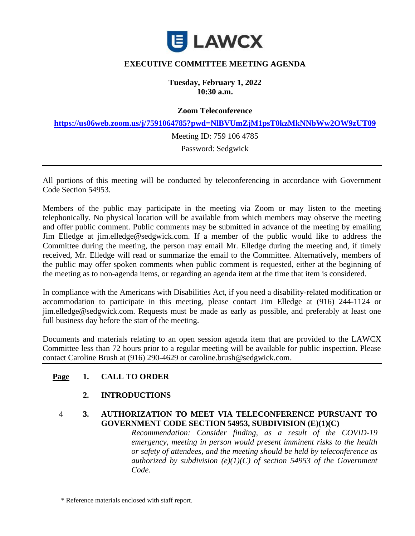

## **EXECUTIVE COMMITTEE MEETING AGENDA**

**Tuesday, February 1, 2022 10:30 a.m.**

**Zoom Teleconference**

**<https://us06web.zoom.us/j/7591064785?pwd=NlBVUmZjM1psT0kzMkNNbWw2OW9zUT09>**

Meeting ID: 759 106 4785

Password: Sedgwick

All portions of this meeting will be conducted by teleconferencing in accordance with Government Code Section 54953.

Members of the public may participate in the meeting via Zoom or may listen to the meeting telephonically. No physical location will be available from which members may observe the meeting and offer public comment. Public comments may be submitted in advance of the meeting by emailing Jim Elledge at jim.elledge@sedgwick.com. If a member of the public would like to address the Committee during the meeting, the person may email Mr. Elledge during the meeting and, if timely received, Mr. Elledge will read or summarize the email to the Committee. Alternatively, members of the public may offer spoken comments when public comment is requested, either at the beginning of the meeting as to non-agenda items, or regarding an agenda item at the time that item is considered.

In compliance with the Americans with Disabilities Act, if you need a disability-related modification or accommodation to participate in this meeting, please contact Jim Elledge at (916) 244-1124 or jim.elledge@sedgwick.com. Requests must be made as early as possible, and preferably at least one full business day before the start of the meeting.

Documents and materials relating to an open session agenda item that are provided to the LAWCX Committee less than 72 hours prior to a regular meeting will be available for public inspection. Please contact Caroline Brush at (916) 290-4629 or caroline.brush@sedgwick.com.

#### **Page 1. CALL TO ORDER**

#### **2. INTRODUCTIONS**

#### 4 **3. AUTHORIZATION TO MEET VIA TELECONFERENCE PURSUANT TO GOVERNMENT CODE SECTION 54953, SUBDIVISION (E)(1)(C)**

*Recommendation: Consider finding, as a result of the COVID-19 emergency, meeting in person would present imminent risks to the health or safety of attendees, and the meeting should be held by teleconference as authorized by subdivision (e)(1)(C) of section 54953 of the Government Code.*

\* Reference materials enclosed with staff report.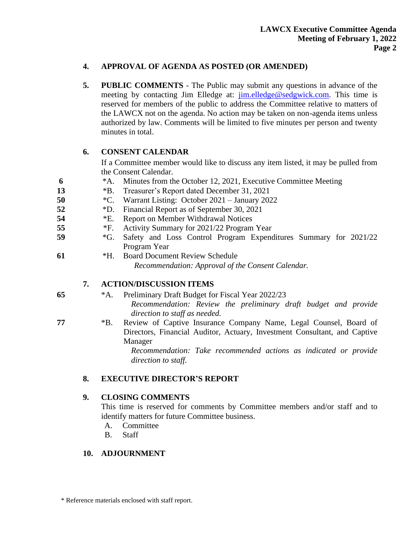### **4. APPROVAL OF AGENDA AS POSTED (OR AMENDED)**

**5. PUBLIC COMMENTS** - The Public may submit any questions in advance of the meeting by contacting Jim Elledge at: [jim.elledge@sedgwick.com.](mailto:jim.elledge@sedgwick.com) This time is reserved for members of the public to address the Committee relative to matters of the LAWCX not on the agenda. No action may be taken on non-agenda items unless authorized by law. Comments will be limited to five minutes per person and twenty minutes in total.

## **6. CONSENT CALENDAR**

If a Committee member would like to discuss any item listed, it may be pulled from the Consent Calendar.

- **6** \*A. Minutes from the October 12, 2021, Executive Committee Meeting
- **13** \*B. Treasurer's Report dated December 31, 2021
- **50** \*C. Warrant Listing: October 2021 January 2022
- **52** \*D. Financial Report as of September 30, 2021
- **54** \*E. Report on Member Withdrawal Notices
- **55** \*F. Activity Summary for 2021/22 Program Year
- **59** \*G. Safety and Loss Control Program Expenditures Summary for 2021/22 Program Year
- **61** \*H. Board Document Review Schedule *Recommendation: Approval of the Consent Calendar.*

# **7. ACTION/DISCUSSION ITEMS**

**65** \*A. Preliminary Draft Budget for Fiscal Year 2022/23 *Recommendation: Review the preliminary draft budget and provide direction to staff as needed.*

**77** \*B. Review of Captive Insurance Company Name, Legal Counsel, Board of Directors, Financial Auditor, Actuary, Investment Consultant, and Captive Manager

> *Recommendation: Take recommended actions as indicated or provide direction to staff.*

# **8. EXECUTIVE DIRECTOR'S REPORT**

# **9. CLOSING COMMENTS**

This time is reserved for comments by Committee members and/or staff and to identify matters for future Committee business.

- A. Committee
- B. Staff

# **10. ADJOURNMENT**

\* Reference materials enclosed with staff report.